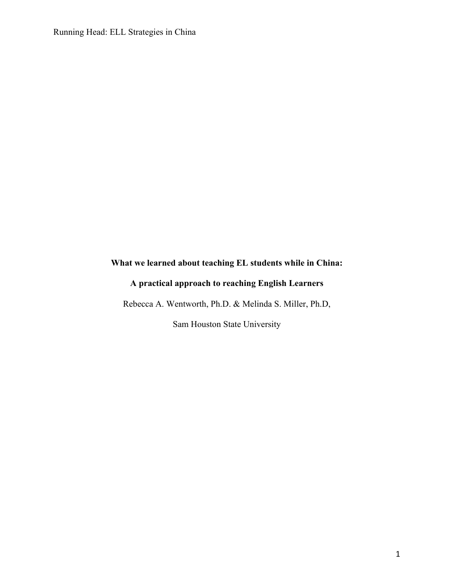# **What we learned about teaching EL students while in China:**

# **A practical approach to reaching English Learners**

Rebecca A. Wentworth, Ph.D. & Melinda S. Miller, Ph.D,

Sam Houston State University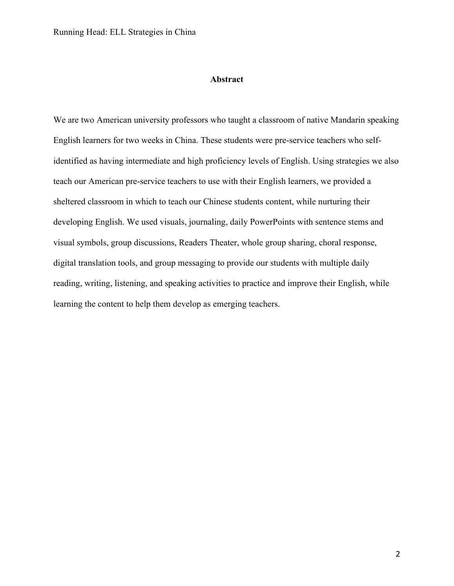# **Abstract**

We are two American university professors who taught a classroom of native Mandarin speaking English learners for two weeks in China. These students were pre-service teachers who selfidentified as having intermediate and high proficiency levels of English. Using strategies we also teach our American pre-service teachers to use with their English learners, we provided a sheltered classroom in which to teach our Chinese students content, while nurturing their developing English. We used visuals, journaling, daily PowerPoints with sentence stems and visual symbols, group discussions, Readers Theater, whole group sharing, choral response, digital translation tools, and group messaging to provide our students with multiple daily reading, writing, listening, and speaking activities to practice and improve their English, while learning the content to help them develop as emerging teachers.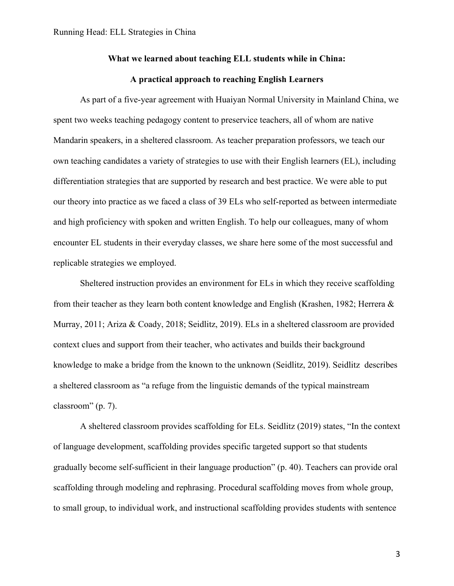# **What we learned about teaching ELL students while in China:**

# **A practical approach to reaching English Learners**

As part of a five-year agreement with Huaiyan Normal University in Mainland China, we spent two weeks teaching pedagogy content to preservice teachers, all of whom are native Mandarin speakers, in a sheltered classroom. As teacher preparation professors, we teach our own teaching candidates a variety of strategies to use with their English learners (EL), including differentiation strategies that are supported by research and best practice. We were able to put our theory into practice as we faced a class of 39 ELs who self-reported as between intermediate and high proficiency with spoken and written English. To help our colleagues, many of whom encounter EL students in their everyday classes, we share here some of the most successful and replicable strategies we employed.

Sheltered instruction provides an environment for ELs in which they receive scaffolding from their teacher as they learn both content knowledge and English (Krashen, 1982; Herrera & Murray, 2011; Ariza & Coady, 2018; Seidlitz, 2019). ELs in a sheltered classroom are provided context clues and support from their teacher, who activates and builds their background knowledge to make a bridge from the known to the unknown (Seidlitz, 2019). Seidlitz describes a sheltered classroom as "a refuge from the linguistic demands of the typical mainstream classroom" (p. 7).

A sheltered classroom provides scaffolding for ELs. Seidlitz (2019) states, "In the context of language development, scaffolding provides specific targeted support so that students gradually become self-sufficient in their language production" (p. 40). Teachers can provide oral scaffolding through modeling and rephrasing. Procedural scaffolding moves from whole group, to small group, to individual work, and instructional scaffolding provides students with sentence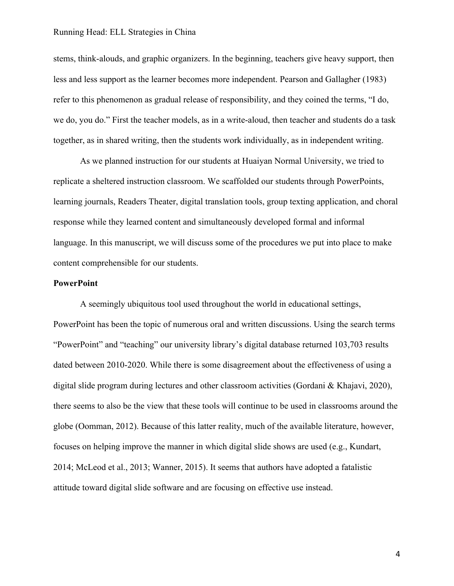stems, think-alouds, and graphic organizers. In the beginning, teachers give heavy support, then less and less support as the learner becomes more independent. Pearson and Gallagher (1983) refer to this phenomenon as gradual release of responsibility, and they coined the terms, "I do, we do, you do." First the teacher models, as in a write-aloud, then teacher and students do a task together, as in shared writing, then the students work individually, as in independent writing.

As we planned instruction for our students at Huaiyan Normal University, we tried to replicate a sheltered instruction classroom. We scaffolded our students through PowerPoints, learning journals, Readers Theater, digital translation tools, group texting application, and choral response while they learned content and simultaneously developed formal and informal language. In this manuscript, we will discuss some of the procedures we put into place to make content comprehensible for our students.

# **PowerPoint**

A seemingly ubiquitous tool used throughout the world in educational settings, PowerPoint has been the topic of numerous oral and written discussions. Using the search terms "PowerPoint" and "teaching" our university library's digital database returned 103,703 results dated between 2010-2020. While there is some disagreement about the effectiveness of using a digital slide program during lectures and other classroom activities (Gordani & Khajavi, 2020), there seems to also be the view that these tools will continue to be used in classrooms around the globe (Oomman, 2012). Because of this latter reality, much of the available literature, however, focuses on helping improve the manner in which digital slide shows are used (e.g., Kundart, 2014; McLeod et al., 2013; Wanner, 2015). It seems that authors have adopted a fatalistic attitude toward digital slide software and are focusing on effective use instead.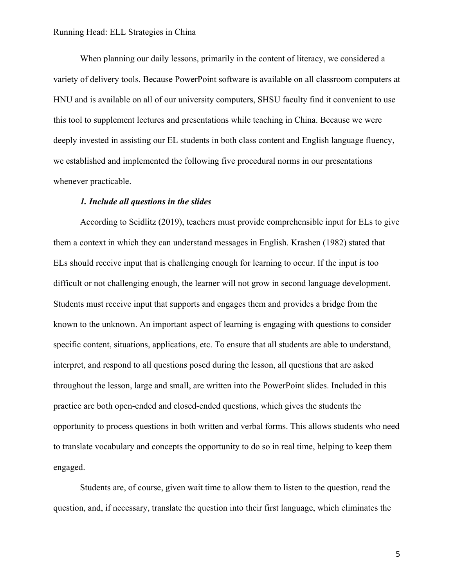When planning our daily lessons, primarily in the content of literacy, we considered a variety of delivery tools. Because PowerPoint software is available on all classroom computers at HNU and is available on all of our university computers, SHSU faculty find it convenient to use this tool to supplement lectures and presentations while teaching in China. Because we were deeply invested in assisting our EL students in both class content and English language fluency, we established and implemented the following five procedural norms in our presentations whenever practicable.

# *1. Include all questions in the slides*

According to Seidlitz (2019), teachers must provide comprehensible input for ELs to give them a context in which they can understand messages in English. Krashen (1982) stated that ELs should receive input that is challenging enough for learning to occur. If the input is too difficult or not challenging enough, the learner will not grow in second language development. Students must receive input that supports and engages them and provides a bridge from the known to the unknown. An important aspect of learning is engaging with questions to consider specific content, situations, applications, etc. To ensure that all students are able to understand, interpret, and respond to all questions posed during the lesson, all questions that are asked throughout the lesson, large and small, are written into the PowerPoint slides. Included in this practice are both open-ended and closed-ended questions, which gives the students the opportunity to process questions in both written and verbal forms. This allows students who need to translate vocabulary and concepts the opportunity to do so in real time, helping to keep them engaged.

Students are, of course, given wait time to allow them to listen to the question, read the question, and, if necessary, translate the question into their first language, which eliminates the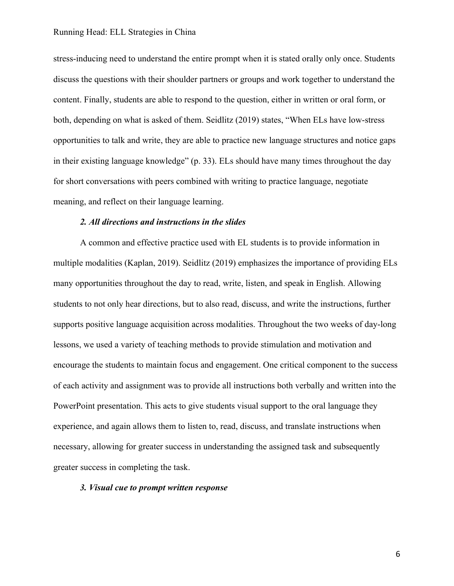stress-inducing need to understand the entire prompt when it is stated orally only once. Students discuss the questions with their shoulder partners or groups and work together to understand the content. Finally, students are able to respond to the question, either in written or oral form, or both, depending on what is asked of them. Seidlitz (2019) states, "When ELs have low-stress opportunities to talk and write, they are able to practice new language structures and notice gaps in their existing language knowledge" (p. 33). ELs should have many times throughout the day for short conversations with peers combined with writing to practice language, negotiate meaning, and reflect on their language learning.

# *2. All directions and instructions in the slides*

A common and effective practice used with EL students is to provide information in multiple modalities (Kaplan, 2019). Seidlitz (2019) emphasizes the importance of providing ELs many opportunities throughout the day to read, write, listen, and speak in English. Allowing students to not only hear directions, but to also read, discuss, and write the instructions, further supports positive language acquisition across modalities. Throughout the two weeks of day-long lessons, we used a variety of teaching methods to provide stimulation and motivation and encourage the students to maintain focus and engagement. One critical component to the success of each activity and assignment was to provide all instructions both verbally and written into the PowerPoint presentation. This acts to give students visual support to the oral language they experience, and again allows them to listen to, read, discuss, and translate instructions when necessary, allowing for greater success in understanding the assigned task and subsequently greater success in completing the task.

# *3. Visual cue to prompt written response*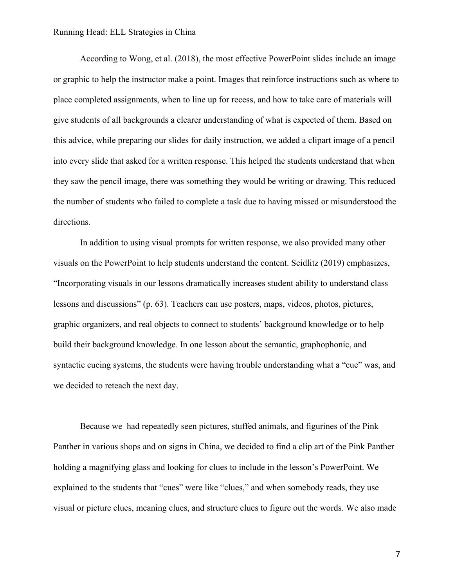According to Wong, et al. (2018), the most effective PowerPoint slides include an image or graphic to help the instructor make a point. Images that reinforce instructions such as where to place completed assignments, when to line up for recess, and how to take care of materials will give students of all backgrounds a clearer understanding of what is expected of them. Based on this advice, while preparing our slides for daily instruction, we added a clipart image of a pencil into every slide that asked for a written response. This helped the students understand that when they saw the pencil image, there was something they would be writing or drawing. This reduced the number of students who failed to complete a task due to having missed or misunderstood the directions.

In addition to using visual prompts for written response, we also provided many other visuals on the PowerPoint to help students understand the content. Seidlitz (2019) emphasizes, "Incorporating visuals in our lessons dramatically increases student ability to understand class lessons and discussions" (p. 63). Teachers can use posters, maps, videos, photos, pictures, graphic organizers, and real objects to connect to students' background knowledge or to help build their background knowledge. In one lesson about the semantic, graphophonic, and syntactic cueing systems, the students were having trouble understanding what a "cue" was, and we decided to reteach the next day.

Because we had repeatedly seen pictures, stuffed animals, and figurines of the Pink Panther in various shops and on signs in China, we decided to find a clip art of the Pink Panther holding a magnifying glass and looking for clues to include in the lesson's PowerPoint. We explained to the students that "cues" were like "clues," and when somebody reads, they use visual or picture clues, meaning clues, and structure clues to figure out the words. We also made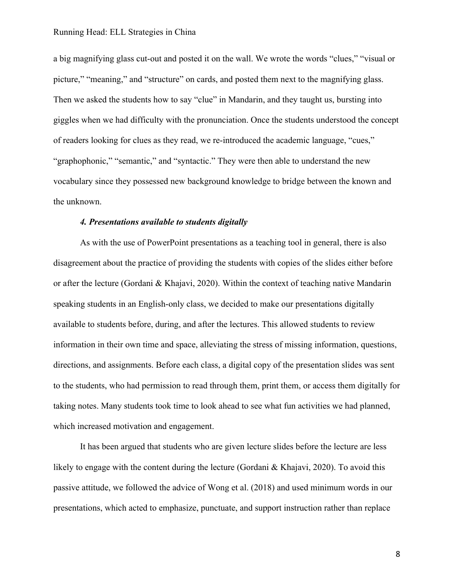a big magnifying glass cut-out and posted it on the wall. We wrote the words "clues," "visual or picture," "meaning," and "structure" on cards, and posted them next to the magnifying glass. Then we asked the students how to say "clue" in Mandarin, and they taught us, bursting into giggles when we had difficulty with the pronunciation. Once the students understood the concept of readers looking for clues as they read, we re-introduced the academic language, "cues," "graphophonic," "semantic," and "syntactic." They were then able to understand the new vocabulary since they possessed new background knowledge to bridge between the known and the unknown.

# *4. Presentations available to students digitally*

As with the use of PowerPoint presentations as a teaching tool in general, there is also disagreement about the practice of providing the students with copies of the slides either before or after the lecture (Gordani & Khajavi, 2020). Within the context of teaching native Mandarin speaking students in an English-only class, we decided to make our presentations digitally available to students before, during, and after the lectures. This allowed students to review information in their own time and space, alleviating the stress of missing information, questions, directions, and assignments. Before each class, a digital copy of the presentation slides was sent to the students, who had permission to read through them, print them, or access them digitally for taking notes. Many students took time to look ahead to see what fun activities we had planned, which increased motivation and engagement.

It has been argued that students who are given lecture slides before the lecture are less likely to engage with the content during the lecture (Gordani & Khajavi, 2020). To avoid this passive attitude, we followed the advice of Wong et al. (2018) and used minimum words in our presentations, which acted to emphasize, punctuate, and support instruction rather than replace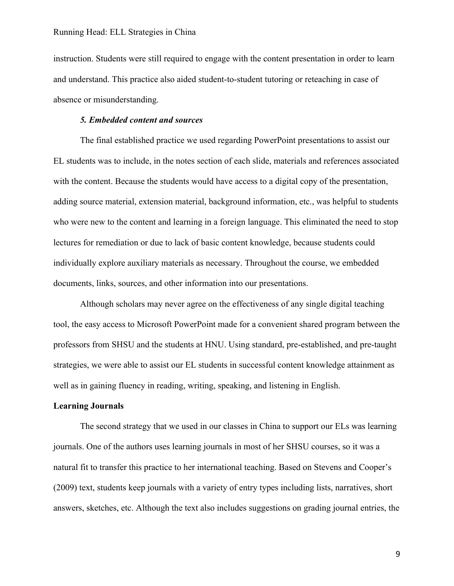instruction. Students were still required to engage with the content presentation in order to learn and understand. This practice also aided student-to-student tutoring or reteaching in case of absence or misunderstanding.

# *5. Embedded content and sources*

The final established practice we used regarding PowerPoint presentations to assist our EL students was to include, in the notes section of each slide, materials and references associated with the content. Because the students would have access to a digital copy of the presentation, adding source material, extension material, background information, etc., was helpful to students who were new to the content and learning in a foreign language. This eliminated the need to stop lectures for remediation or due to lack of basic content knowledge, because students could individually explore auxiliary materials as necessary. Throughout the course, we embedded documents, links, sources, and other information into our presentations.

Although scholars may never agree on the effectiveness of any single digital teaching tool, the easy access to Microsoft PowerPoint made for a convenient shared program between the professors from SHSU and the students at HNU. Using standard, pre-established, and pre-taught strategies, we were able to assist our EL students in successful content knowledge attainment as well as in gaining fluency in reading, writing, speaking, and listening in English.

#### **Learning Journals**

The second strategy that we used in our classes in China to support our ELs was learning journals. One of the authors uses learning journals in most of her SHSU courses, so it was a natural fit to transfer this practice to her international teaching. Based on Stevens and Cooper's (2009) text, students keep journals with a variety of entry types including lists, narratives, short answers, sketches, etc. Although the text also includes suggestions on grading journal entries, the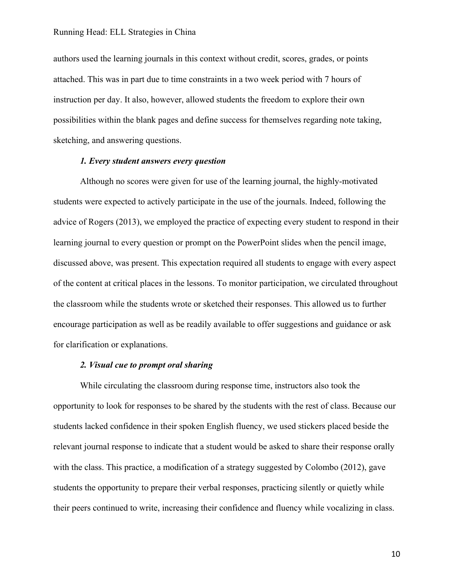authors used the learning journals in this context without credit, scores, grades, or points attached. This was in part due to time constraints in a two week period with 7 hours of instruction per day. It also, however, allowed students the freedom to explore their own possibilities within the blank pages and define success for themselves regarding note taking, sketching, and answering questions.

# *1. Every student answers every question*

Although no scores were given for use of the learning journal, the highly-motivated students were expected to actively participate in the use of the journals. Indeed, following the advice of Rogers (2013), we employed the practice of expecting every student to respond in their learning journal to every question or prompt on the PowerPoint slides when the pencil image, discussed above, was present. This expectation required all students to engage with every aspect of the content at critical places in the lessons. To monitor participation, we circulated throughout the classroom while the students wrote or sketched their responses. This allowed us to further encourage participation as well as be readily available to offer suggestions and guidance or ask for clarification or explanations.

# *2. Visual cue to prompt oral sharing*

While circulating the classroom during response time, instructors also took the opportunity to look for responses to be shared by the students with the rest of class. Because our students lacked confidence in their spoken English fluency, we used stickers placed beside the relevant journal response to indicate that a student would be asked to share their response orally with the class. This practice, a modification of a strategy suggested by Colombo (2012), gave students the opportunity to prepare their verbal responses, practicing silently or quietly while their peers continued to write, increasing their confidence and fluency while vocalizing in class.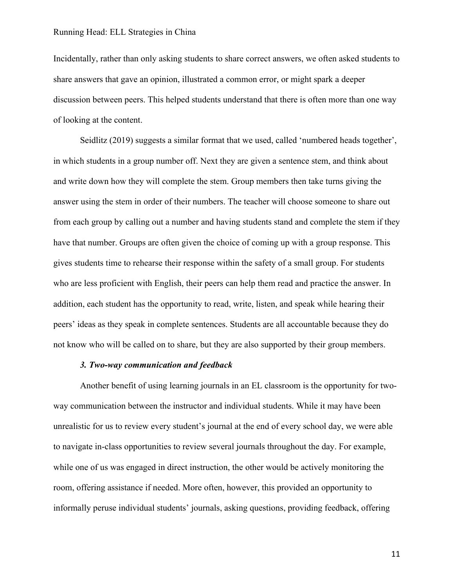Incidentally, rather than only asking students to share correct answers, we often asked students to share answers that gave an opinion, illustrated a common error, or might spark a deeper discussion between peers. This helped students understand that there is often more than one way of looking at the content.

Seidlitz (2019) suggests a similar format that we used, called 'numbered heads together', in which students in a group number off. Next they are given a sentence stem, and think about and write down how they will complete the stem. Group members then take turns giving the answer using the stem in order of their numbers. The teacher will choose someone to share out from each group by calling out a number and having students stand and complete the stem if they have that number. Groups are often given the choice of coming up with a group response. This gives students time to rehearse their response within the safety of a small group. For students who are less proficient with English, their peers can help them read and practice the answer. In addition, each student has the opportunity to read, write, listen, and speak while hearing their peers' ideas as they speak in complete sentences. Students are all accountable because they do not know who will be called on to share, but they are also supported by their group members.

# *3. Two-way communication and feedback*

Another benefit of using learning journals in an EL classroom is the opportunity for twoway communication between the instructor and individual students. While it may have been unrealistic for us to review every student's journal at the end of every school day, we were able to navigate in-class opportunities to review several journals throughout the day. For example, while one of us was engaged in direct instruction, the other would be actively monitoring the room, offering assistance if needed. More often, however, this provided an opportunity to informally peruse individual students' journals, asking questions, providing feedback, offering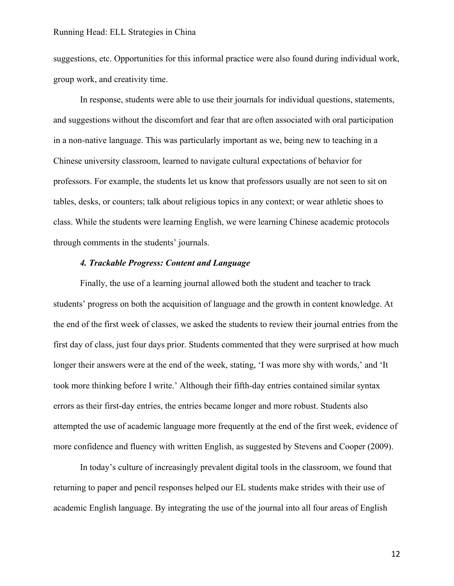suggestions, etc. Opportunities for this informal practice were also found during individual work, group work, and creativity time.

In response, students were able to use their journals for individual questions, statements, and suggestions without the discomfort and fear that are often associated with oral participation in a non-native language. This was particularly important as we, being new to teaching in a Chinese university classroom, learned to navigate cultural expectations of behavior for professors. For example, the students let us know that professors usually are not seen to sit on tables, desks, or counters; talk about religious topics in any context; or wear athletic shoes to class. While the students were learning English, we were learning Chinese academic protocols through comments in the students' journals.

# *4. Trackable Progress: Content and Language*

Finally, the use of a learning journal allowed both the student and teacher to track students' progress on both the acquisition of language and the growth in content knowledge. At the end of the first week of classes, we asked the students to review their journal entries from the first day of class, just four days prior. Students commented that they were surprised at how much longer their answers were at the end of the week, stating, 'I was more shy with words,' and 'It took more thinking before I write.' Although their fifth-day entries contained similar syntax errors as their first-day entries, the entries became longer and more robust. Students also attempted the use of academic language more frequently at the end of the first week, evidence of more confidence and fluency with written English, as suggested by Stevens and Cooper (2009).

In today's culture of increasingly prevalent digital tools in the classroom, we found that returning to paper and pencil responses helped our EL students make strides with their use of academic English language. By integrating the use of the journal into all four areas of English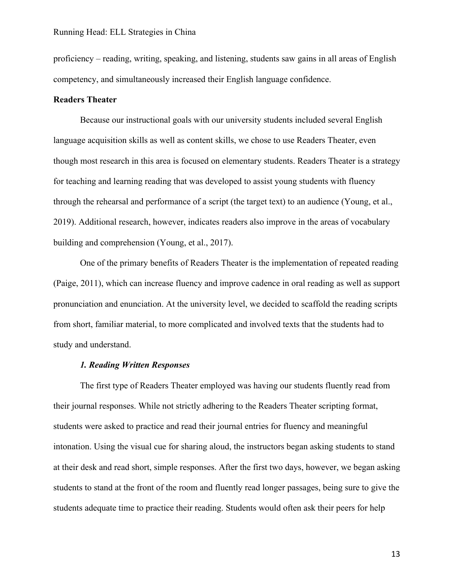proficiency – reading, writing, speaking, and listening, students saw gains in all areas of English competency, and simultaneously increased their English language confidence.

# **Readers Theater**

Because our instructional goals with our university students included several English language acquisition skills as well as content skills, we chose to use Readers Theater, even though most research in this area is focused on elementary students. Readers Theater is a strategy for teaching and learning reading that was developed to assist young students with fluency through the rehearsal and performance of a script (the target text) to an audience (Young, et al., 2019). Additional research, however, indicates readers also improve in the areas of vocabulary building and comprehension (Young, et al., 2017).

One of the primary benefits of Readers Theater is the implementation of repeated reading (Paige, 2011), which can increase fluency and improve cadence in oral reading as well as support pronunciation and enunciation. At the university level, we decided to scaffold the reading scripts from short, familiar material, to more complicated and involved texts that the students had to study and understand.

#### *1. Reading Written Responses*

The first type of Readers Theater employed was having our students fluently read from their journal responses. While not strictly adhering to the Readers Theater scripting format, students were asked to practice and read their journal entries for fluency and meaningful intonation. Using the visual cue for sharing aloud, the instructors began asking students to stand at their desk and read short, simple responses. After the first two days, however, we began asking students to stand at the front of the room and fluently read longer passages, being sure to give the students adequate time to practice their reading. Students would often ask their peers for help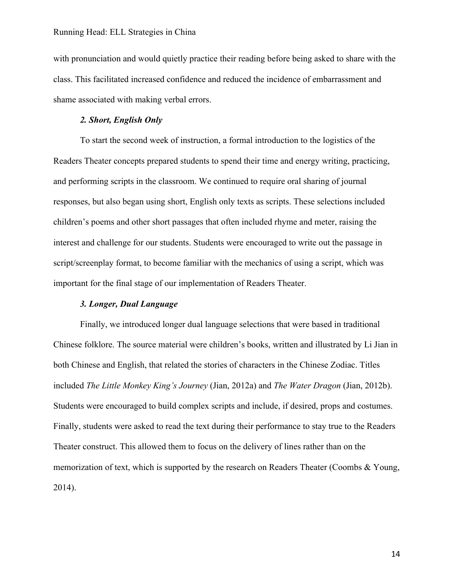with pronunciation and would quietly practice their reading before being asked to share with the class. This facilitated increased confidence and reduced the incidence of embarrassment and shame associated with making verbal errors.

# *2. Short, English Only*

To start the second week of instruction, a formal introduction to the logistics of the Readers Theater concepts prepared students to spend their time and energy writing, practicing, and performing scripts in the classroom. We continued to require oral sharing of journal responses, but also began using short, English only texts as scripts. These selections included children's poems and other short passages that often included rhyme and meter, raising the interest and challenge for our students. Students were encouraged to write out the passage in script/screenplay format, to become familiar with the mechanics of using a script, which was important for the final stage of our implementation of Readers Theater.

# *3. Longer, Dual Language*

Finally, we introduced longer dual language selections that were based in traditional Chinese folklore. The source material were children's books, written and illustrated by Li Jian in both Chinese and English, that related the stories of characters in the Chinese Zodiac. Titles included *The Little Monkey King's Journey* (Jian, 2012a) and *The Water Dragon* (Jian, 2012b). Students were encouraged to build complex scripts and include, if desired, props and costumes. Finally, students were asked to read the text during their performance to stay true to the Readers Theater construct. This allowed them to focus on the delivery of lines rather than on the memorization of text, which is supported by the research on Readers Theater (Coombs & Young, 2014).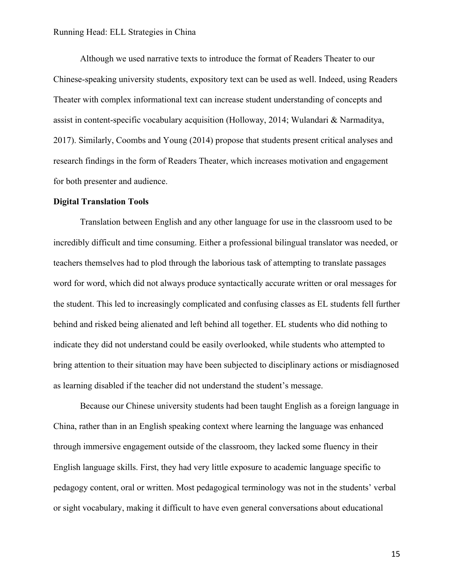Although we used narrative texts to introduce the format of Readers Theater to our Chinese-speaking university students, expository text can be used as well. Indeed, using Readers Theater with complex informational text can increase student understanding of concepts and assist in content-specific vocabulary acquisition (Holloway, 2014; Wulandari & Narmaditya, 2017). Similarly, Coombs and Young (2014) propose that students present critical analyses and research findings in the form of Readers Theater, which increases motivation and engagement for both presenter and audience.

#### **Digital Translation Tools**

Translation between English and any other language for use in the classroom used to be incredibly difficult and time consuming. Either a professional bilingual translator was needed, or teachers themselves had to plod through the laborious task of attempting to translate passages word for word, which did not always produce syntactically accurate written or oral messages for the student. This led to increasingly complicated and confusing classes as EL students fell further behind and risked being alienated and left behind all together. EL students who did nothing to indicate they did not understand could be easily overlooked, while students who attempted to bring attention to their situation may have been subjected to disciplinary actions or misdiagnosed as learning disabled if the teacher did not understand the student's message.

Because our Chinese university students had been taught English as a foreign language in China, rather than in an English speaking context where learning the language was enhanced through immersive engagement outside of the classroom, they lacked some fluency in their English language skills. First, they had very little exposure to academic language specific to pedagogy content, oral or written. Most pedagogical terminology was not in the students' verbal or sight vocabulary, making it difficult to have even general conversations about educational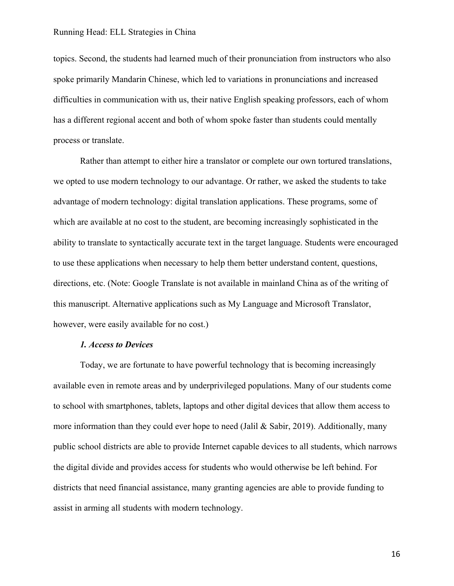topics. Second, the students had learned much of their pronunciation from instructors who also spoke primarily Mandarin Chinese, which led to variations in pronunciations and increased difficulties in communication with us, their native English speaking professors, each of whom has a different regional accent and both of whom spoke faster than students could mentally process or translate.

Rather than attempt to either hire a translator or complete our own tortured translations, we opted to use modern technology to our advantage. Or rather, we asked the students to take advantage of modern technology: digital translation applications. These programs, some of which are available at no cost to the student, are becoming increasingly sophisticated in the ability to translate to syntactically accurate text in the target language. Students were encouraged to use these applications when necessary to help them better understand content, questions, directions, etc. (Note: Google Translate is not available in mainland China as of the writing of this manuscript. Alternative applications such as My Language and Microsoft Translator, however, were easily available for no cost.)

# *1. Access to Devices*

Today, we are fortunate to have powerful technology that is becoming increasingly available even in remote areas and by underprivileged populations. Many of our students come to school with smartphones, tablets, laptops and other digital devices that allow them access to more information than they could ever hope to need (Jalil & Sabir, 2019). Additionally, many public school districts are able to provide Internet capable devices to all students, which narrows the digital divide and provides access for students who would otherwise be left behind. For districts that need financial assistance, many granting agencies are able to provide funding to assist in arming all students with modern technology.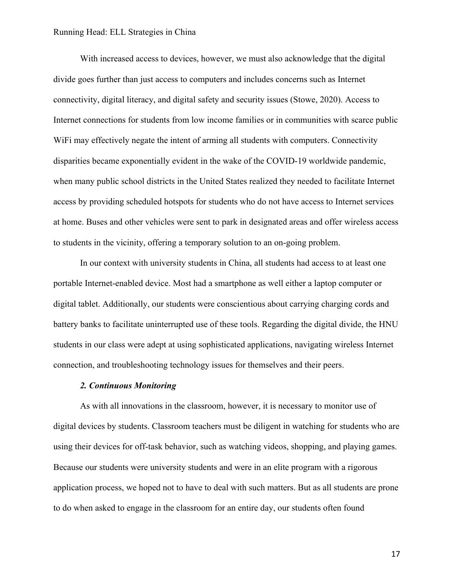With increased access to devices, however, we must also acknowledge that the digital divide goes further than just access to computers and includes concerns such as Internet connectivity, digital literacy, and digital safety and security issues (Stowe, 2020). Access to Internet connections for students from low income families or in communities with scarce public WiFi may effectively negate the intent of arming all students with computers. Connectivity disparities became exponentially evident in the wake of the COVID-19 worldwide pandemic, when many public school districts in the United States realized they needed to facilitate Internet access by providing scheduled hotspots for students who do not have access to Internet services at home. Buses and other vehicles were sent to park in designated areas and offer wireless access to students in the vicinity, offering a temporary solution to an on-going problem.

In our context with university students in China, all students had access to at least one portable Internet-enabled device. Most had a smartphone as well either a laptop computer or digital tablet. Additionally, our students were conscientious about carrying charging cords and battery banks to facilitate uninterrupted use of these tools. Regarding the digital divide, the HNU students in our class were adept at using sophisticated applications, navigating wireless Internet connection, and troubleshooting technology issues for themselves and their peers.

#### *2. Continuous Monitoring*

As with all innovations in the classroom, however, it is necessary to monitor use of digital devices by students. Classroom teachers must be diligent in watching for students who are using their devices for off-task behavior, such as watching videos, shopping, and playing games. Because our students were university students and were in an elite program with a rigorous application process, we hoped not to have to deal with such matters. But as all students are prone to do when asked to engage in the classroom for an entire day, our students often found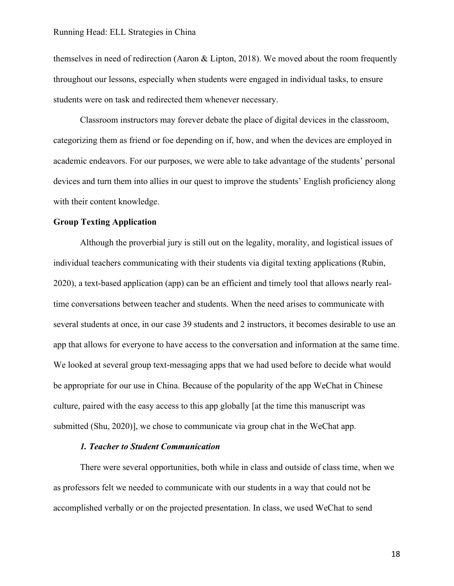themselves in need of redirection (Aaron & Lipton, 2018). We moved about the room frequently throughout our lessons, especially when students were engaged in individual tasks, to ensure students were on task and redirected them whenever necessary.

Classroom instructors may forever debate the place of digital devices in the classroom, categorizing them as friend or foe depending on if, how, and when the devices are employed in academic endeavors. For our purposes, we were able to take advantage of the students' personal devices and turn them into allies in our quest to improve the students' English proficiency along with their content knowledge.

# **Group Texting Application**

Although the proverbial jury is still out on the legality, morality, and logistical issues of individual teachers communicating with their students via digital texting applications (Rubin, 2020), a text-based application (app) can be an efficient and timely tool that allows nearly realtime conversations between teacher and students. When the need arises to communicate with several students at once, in our case 39 students and 2 instructors, it becomes desirable to use an app that allows for everyone to have access to the conversation and information at the same time. We looked at several group text-messaging apps that we had used before to decide what would be appropriate for our use in China. Because of the popularity of the app WeChat in Chinese culture, paired with the easy access to this app globally [at the time this manuscript was submitted (Shu, 2020)], we chose to communicate via group chat in the WeChat app.

# *1. Teacher to Student Communication*

There were several opportunities, both while in class and outside of class time, when we as professors felt we needed to communicate with our students in a way that could not be accomplished verbally or on the projected presentation. In class, we used WeChat to send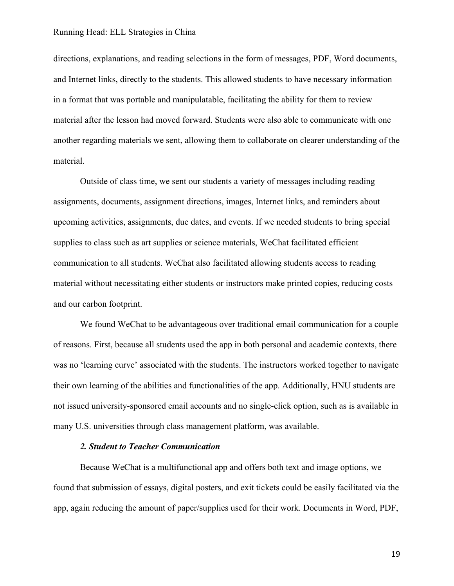directions, explanations, and reading selections in the form of messages, PDF, Word documents, and Internet links, directly to the students. This allowed students to have necessary information in a format that was portable and manipulatable, facilitating the ability for them to review material after the lesson had moved forward. Students were also able to communicate with one another regarding materials we sent, allowing them to collaborate on clearer understanding of the material.

Outside of class time, we sent our students a variety of messages including reading assignments, documents, assignment directions, images, Internet links, and reminders about upcoming activities, assignments, due dates, and events. If we needed students to bring special supplies to class such as art supplies or science materials, WeChat facilitated efficient communication to all students. WeChat also facilitated allowing students access to reading material without necessitating either students or instructors make printed copies, reducing costs and our carbon footprint.

We found WeChat to be advantageous over traditional email communication for a couple of reasons. First, because all students used the app in both personal and academic contexts, there was no 'learning curve' associated with the students. The instructors worked together to navigate their own learning of the abilities and functionalities of the app. Additionally, HNU students are not issued university-sponsored email accounts and no single-click option, such as is available in many U.S. universities through class management platform, was available.

# *2. Student to Teacher Communication*

Because WeChat is a multifunctional app and offers both text and image options, we found that submission of essays, digital posters, and exit tickets could be easily facilitated via the app, again reducing the amount of paper/supplies used for their work. Documents in Word, PDF,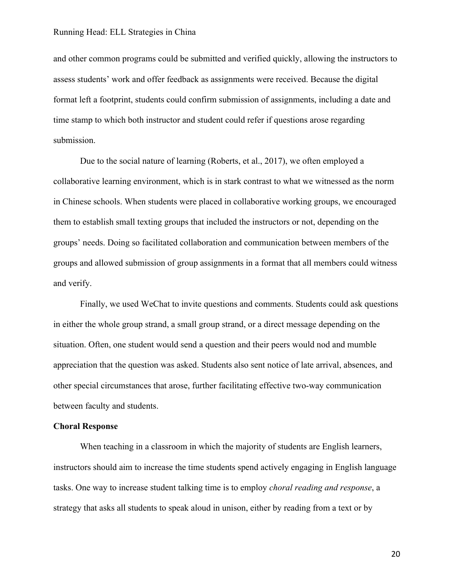and other common programs could be submitted and verified quickly, allowing the instructors to assess students' work and offer feedback as assignments were received. Because the digital format left a footprint, students could confirm submission of assignments, including a date and time stamp to which both instructor and student could refer if questions arose regarding submission.

Due to the social nature of learning (Roberts, et al., 2017), we often employed a collaborative learning environment, which is in stark contrast to what we witnessed as the norm in Chinese schools. When students were placed in collaborative working groups, we encouraged them to establish small texting groups that included the instructors or not, depending on the groups' needs. Doing so facilitated collaboration and communication between members of the groups and allowed submission of group assignments in a format that all members could witness and verify.

Finally, we used WeChat to invite questions and comments. Students could ask questions in either the whole group strand, a small group strand, or a direct message depending on the situation. Often, one student would send a question and their peers would nod and mumble appreciation that the question was asked. Students also sent notice of late arrival, absences, and other special circumstances that arose, further facilitating effective two-way communication between faculty and students.

#### **Choral Response**

When teaching in a classroom in which the majority of students are English learners, instructors should aim to increase the time students spend actively engaging in English language tasks. One way to increase student talking time is to employ *choral reading and response*, a strategy that asks all students to speak aloud in unison, either by reading from a text or by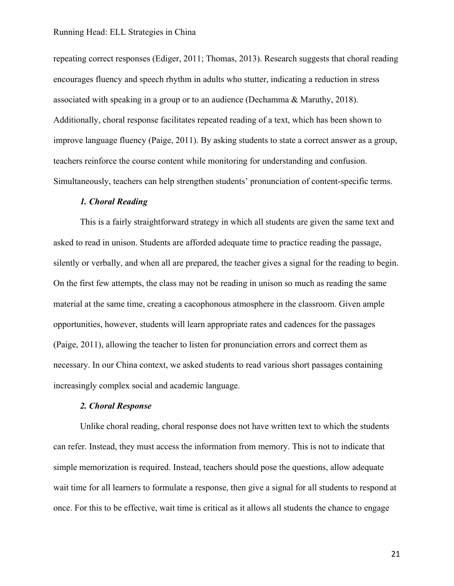repeating correct responses (Ediger, 2011; Thomas, 2013). Research suggests that choral reading encourages fluency and speech rhythm in adults who stutter, indicating a reduction in stress associated with speaking in a group or to an audience (Dechamma & Maruthy, 2018). Additionally, choral response facilitates repeated reading of a text, which has been shown to improve language fluency (Paige, 2011). By asking students to state a correct answer as a group, teachers reinforce the course content while monitoring for understanding and confusion. Simultaneously, teachers can help strengthen students' pronunciation of content-specific terms.

#### *1. Choral Reading*

This is a fairly straightforward strategy in which all students are given the same text and asked to read in unison. Students are afforded adequate time to practice reading the passage, silently or verbally, and when all are prepared, the teacher gives a signal for the reading to begin. On the first few attempts, the class may not be reading in unison so much as reading the same material at the same time, creating a cacophonous atmosphere in the classroom. Given ample opportunities, however, students will learn appropriate rates and cadences for the passages (Paige, 2011), allowing the teacher to listen for pronunciation errors and correct them as necessary. In our China context, we asked students to read various short passages containing increasingly complex social and academic language.

# *2. Choral Response*

Unlike choral reading, choral response does not have written text to which the students can refer. Instead, they must access the information from memory. This is not to indicate that simple memorization is required. Instead, teachers should pose the questions, allow adequate wait time for all learners to formulate a response, then give a signal for all students to respond at once. For this to be effective, wait time is critical as it allows all students the chance to engage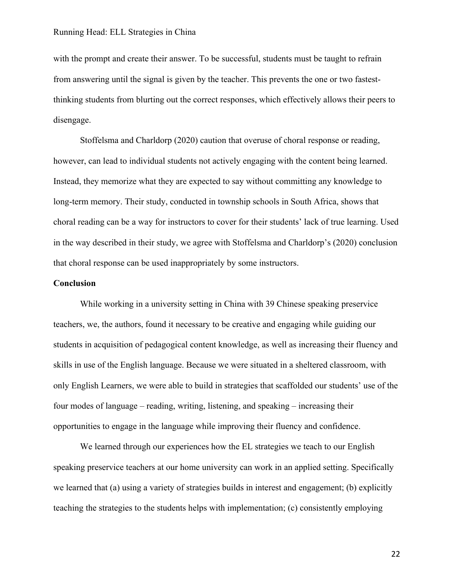with the prompt and create their answer. To be successful, students must be taught to refrain from answering until the signal is given by the teacher. This prevents the one or two fastestthinking students from blurting out the correct responses, which effectively allows their peers to disengage.

Stoffelsma and Charldorp (2020) caution that overuse of choral response or reading, however, can lead to individual students not actively engaging with the content being learned. Instead, they memorize what they are expected to say without committing any knowledge to long-term memory. Their study, conducted in township schools in South Africa, shows that choral reading can be a way for instructors to cover for their students' lack of true learning. Used in the way described in their study, we agree with Stoffelsma and Charldorp's (2020) conclusion that choral response can be used inappropriately by some instructors.

#### **Conclusion**

While working in a university setting in China with 39 Chinese speaking preservice teachers, we, the authors, found it necessary to be creative and engaging while guiding our students in acquisition of pedagogical content knowledge, as well as increasing their fluency and skills in use of the English language. Because we were situated in a sheltered classroom, with only English Learners, we were able to build in strategies that scaffolded our students' use of the four modes of language – reading, writing, listening, and speaking – increasing their opportunities to engage in the language while improving their fluency and confidence.

We learned through our experiences how the EL strategies we teach to our English speaking preservice teachers at our home university can work in an applied setting. Specifically we learned that (a) using a variety of strategies builds in interest and engagement; (b) explicitly teaching the strategies to the students helps with implementation; (c) consistently employing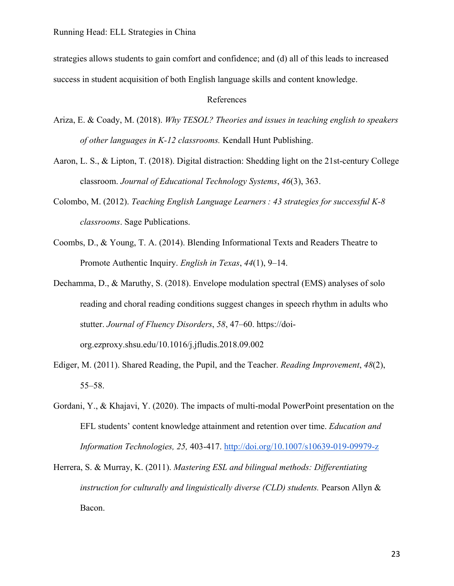strategies allows students to gain comfort and confidence; and (d) all of this leads to increased success in student acquisition of both English language skills and content knowledge.

## References

- Ariza, E. & Coady, M. (2018). *Why TESOL? Theories and issues in teaching english to speakers of other languages in K-12 classrooms.* Kendall Hunt Publishing.
- Aaron, L. S., & Lipton, T. (2018). Digital distraction: Shedding light on the 21st-century College classroom. *Journal of Educational Technology Systems*, *46*(3), 363.
- Colombo, M. (2012). *Teaching English Language Learners : 43 strategies for successful K-8 classrooms*. Sage Publications.
- Coombs, D., & Young, T. A. (2014). Blending Informational Texts and Readers Theatre to Promote Authentic Inquiry. *English in Texas*, *44*(1), 9–14.
- Dechamma, D., & Maruthy, S. (2018). Envelope modulation spectral (EMS) analyses of solo reading and choral reading conditions suggest changes in speech rhythm in adults who stutter. *Journal of Fluency Disorders*, *58*, 47–60. https://doiorg.ezproxy.shsu.edu/10.1016/j.jfludis.2018.09.002
- Ediger, M. (2011). Shared Reading, the Pupil, and the Teacher. *Reading Improvement*, *48*(2), 55–58.
- Gordani, Y., & Khajavi, Y. (2020). The impacts of multi-modal PowerPoint presentation on the EFL students' content knowledge attainment and retention over time. *Education and Information Technologies, 25,* 403-417. http://doi.org/10.1007/s10639-019-09979-z
- Herrera, S. & Murray, K. (2011). *Mastering ESL and bilingual methods: Differentiating instruction for culturally and linguistically diverse (CLD) students.* Pearson Allyn & Bacon.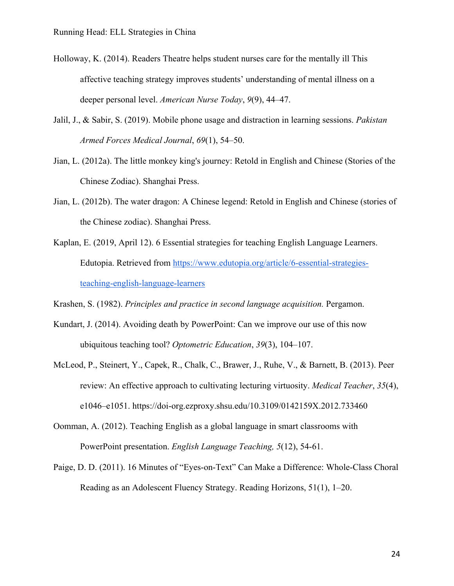- Holloway, K. (2014). Readers Theatre helps student nurses care for the mentally ill This affective teaching strategy improves students' understanding of mental illness on a deeper personal level. *American Nurse Today*, *9*(9), 44–47.
- Jalil, J., & Sabir, S. (2019). Mobile phone usage and distraction in learning sessions. *Pakistan Armed Forces Medical Journal*, *69*(1), 54–50.
- Jian, L. (2012a). The little monkey king's journey: Retold in English and Chinese (Stories of the Chinese Zodiac). Shanghai Press.
- Jian, L. (2012b). The water dragon: A Chinese legend: Retold in English and Chinese (stories of the Chinese zodiac). Shanghai Press.
- Kaplan, E. (2019, April 12). 6 Essential strategies for teaching English Language Learners. Edutopia. Retrieved from https://www.edutopia.org/article/6-essential-strategiesteaching-english-language-learners
- Krashen, S. (1982). *Principles and practice in second language acquisition.* Pergamon.
- Kundart, J. (2014). Avoiding death by PowerPoint: Can we improve our use of this now ubiquitous teaching tool? *Optometric Education*, *39*(3), 104–107.
- McLeod, P., Steinert, Y., Capek, R., Chalk, C., Brawer, J., Ruhe, V., & Barnett, B. (2013). Peer review: An effective approach to cultivating lecturing virtuosity. *Medical Teacher*, *35*(4), e1046–e1051. https://doi-org.ezproxy.shsu.edu/10.3109/0142159X.2012.733460
- Oomman, A. (2012). Teaching English as a global language in smart classrooms with PowerPoint presentation. *English Language Teaching, 5*(12), 54-61.
- Paige, D. D. (2011). 16 Minutes of "Eyes-on-Text" Can Make a Difference: Whole-Class Choral Reading as an Adolescent Fluency Strategy. Reading Horizons, 51(1), 1–20.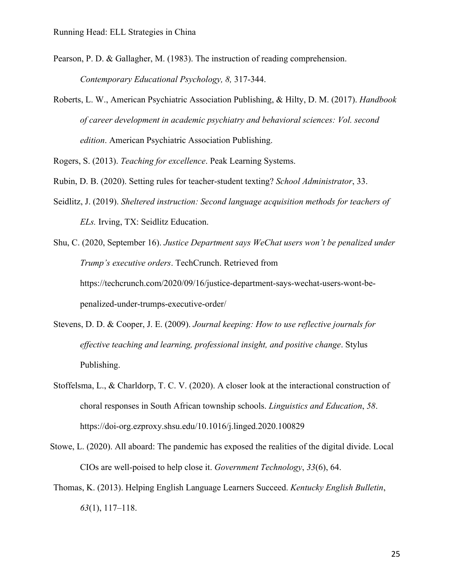Pearson, P. D. & Gallagher, M. (1983). The instruction of reading comprehension. *Contemporary Educational Psychology, 8,* 317-344.

Roberts, L. W., American Psychiatric Association Publishing, & Hilty, D. M. (2017). *Handbook of career development in academic psychiatry and behavioral sciences: Vol. second edition*. American Psychiatric Association Publishing.

Rogers, S. (2013). *Teaching for excellence*. Peak Learning Systems.

Rubin, D. B. (2020). Setting rules for teacher-student texting? *School Administrator*, 33.

Seidlitz, J. (2019). *Sheltered instruction: Second language acquisition methods for teachers of ELs.* Irving, TX: Seidlitz Education.

Shu, C. (2020, September 16). *Justice Department says WeChat users won't be penalized under Trump's executive orders*. TechCrunch. Retrieved from https://techcrunch.com/2020/09/16/justice-department-says-wechat-users-wont-bepenalized-under-trumps-executive-order/

- Stevens, D. D. & Cooper, J. E. (2009). *Journal keeping: How to use reflective journals for effective teaching and learning, professional insight, and positive change*. Stylus Publishing.
- Stoffelsma, L., & Charldorp, T. C. V. (2020). A closer look at the interactional construction of choral responses in South African township schools. *Linguistics and Education*, *58*. https://doi-org.ezproxy.shsu.edu/10.1016/j.linged.2020.100829
- Stowe, L. (2020). All aboard: The pandemic has exposed the realities of the digital divide. Local CIOs are well-poised to help close it. *Government Technology*, *33*(6), 64.
- Thomas, K. (2013). Helping English Language Learners Succeed. *Kentucky English Bulletin*, *63*(1), 117–118.